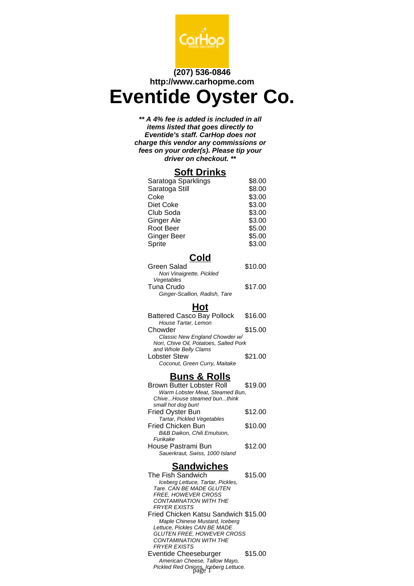

## **(207) 536-0846 http://www.carhopme.com**

# **Eventide Oyster Co.**

**\*\* A 4% fee is added is included in all items listed that goes directly to Eventide's staff. CarHop does not charge this vendor any commissions or fees on your order(s). Please tip your driver on checkout. \*\***

### **Soft Drinks**

| Saratoga Sparklings | \$8.00 |
|---------------------|--------|
| Saratoga Still      | \$8.00 |
| Coke                | \$3.00 |
| Diet Coke           | \$3.00 |
| Club Soda           | \$3.00 |
| Ginger Ale          | \$3.00 |
| Root Beer           | \$5.00 |
| <b>Ginger Beer</b>  | \$5.00 |
| Sprite              | \$3.00 |
|                     |        |

# **Cold**

| Green Salad                   | \$10.00 |
|-------------------------------|---------|
| Nori Vinaigrette, Pickled     |         |
| Vegetables                    |         |
| Tuna Crudo                    | \$17.00 |
| Ginger-Scallion, Radish, Tare |         |
|                               |         |

## **Hot**

| <b>Battered Casco Bay Pollock</b>      | \$16.00 |
|----------------------------------------|---------|
| House Tartar, Lemon                    |         |
| Chowder                                | \$15.00 |
| Classic New England Chowder w/         |         |
| Nori, Chive Oil, Potatoes, Salted Pork |         |
| and Whole Belly Clams                  |         |
| <b>Lobster Stew</b>                    | \$21.00 |
| Coconut, Green Curry, Maitake          |         |

## **Buns & Rolls**

| <b>Brown Butter Lobster Roll</b> | \$19.00 |
|----------------------------------|---------|
| Warm Lobster Meat, Steamed Bun,  |         |
| ChiveHouse steamed bunthink      |         |
| small hot dog bun!               |         |
| Fried Oyster Bun                 | \$12.00 |
| Tartar, Pickled Vegetables       |         |
| <b>Fried Chicken Bun</b>         | \$10.00 |
| B&B Daikon. Chili Emulsion.      |         |
| Furikake                         |         |
| House Pastrami Bun               | \$12.00 |
| Sauerkraut, Swiss, 1000 Island   |         |

#### **Sandwiches**

| The Fish Sandwich                              | \$15.00 |
|------------------------------------------------|---------|
| Iceberg Lettuce, Tartar, Pickles,              |         |
| Tare, CAN BF MADF GI UTFN                      |         |
| <i>FREE. HOWEVER CROSS</i>                     |         |
| CONTAMINATION WITH THE                         |         |
| <b>FRYER EXISTS</b>                            |         |
| Fried Chicken Katsu Sandwich \$15.00           |         |
| Maple Chinese Mustard, Iceberg                 |         |
| Lettuce. Pickles CAN BE MADE                   |         |
| GLUTEN FREE, HOWEVER CROSS                     |         |
| CONTAMINATION WITH THE                         |         |
| <b>FRYER EXISTS</b>                            |         |
| Eventide Cheeseburger                          | \$15.00 |
| American Cheese, Tallow Mayo,                  |         |
| Pickled Red Onions, Iceberg Lettuce.<br>page 1 |         |
|                                                |         |